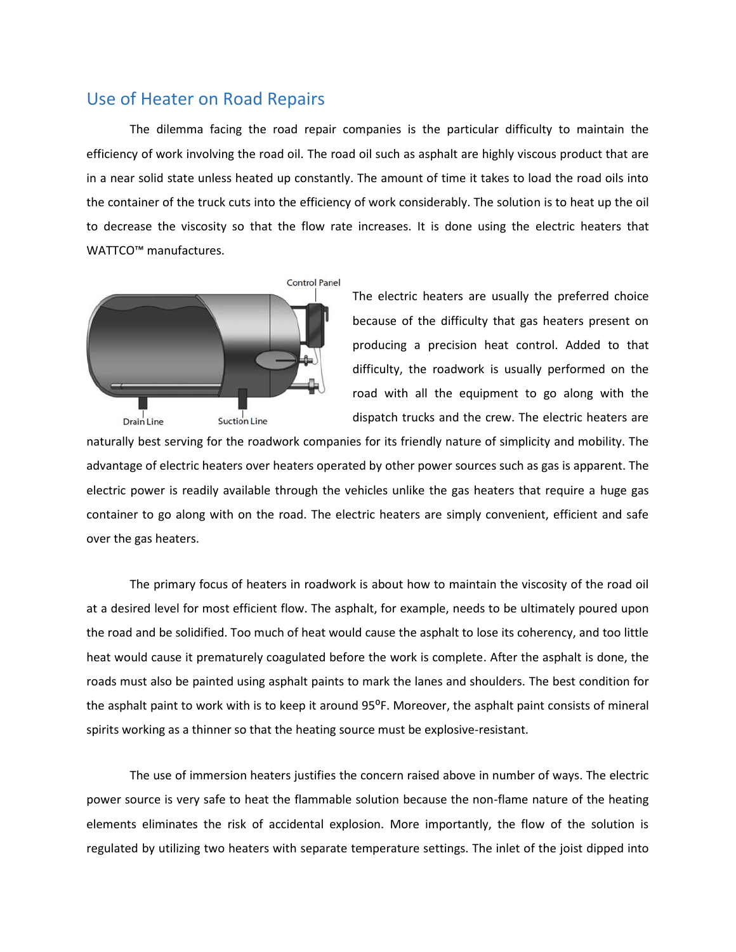## Use of Heater on Road Repairs

The dilemma facing the road repair companies is the particular difficulty to maintain the efficiency of work involving the road oil. The road oil such as asphalt are highly viscous product that are in a near solid state unless heated up constantly. The amount of time it takes to load the road oils into the container of the truck cuts into the efficiency of work considerably. The solution is to heat up the oil to decrease the viscosity so that the flow rate increases. It is done using the electric heaters that WATTCO<sup>™</sup> manufactures.



The electric heaters are usually the preferred choice because of the difficulty that gas heaters present on producing a precision heat control. Added to that difficulty, the roadwork is usually performed on the road with all the equipment to go along with the dispatch trucks and the crew. The electric heaters are

naturally best serving for the roadwork companies for its friendly nature of simplicity and mobility. The advantage of electric heaters over heaters operated by other power sources such as gas is apparent. The electric power is readily available through the vehicles unlike the gas heaters that require a huge gas container to go along with on the road. The electric heaters are simply convenient, efficient and safe over the gas heaters.

The primary focus of heaters in roadwork is about how to maintain the viscosity of the road oil at a desired level for most efficient flow. The asphalt, for example, needs to be ultimately poured upon the road and be solidified. Too much of heat would cause the asphalt to lose its coherency, and too little heat would cause it prematurely coagulated before the work is complete. After the asphalt is done, the roads must also be painted using asphalt paints to mark the lanes and shoulders. The best condition for the asphalt paint to work with is to keep it around 95°F. Moreover, the asphalt paint consists of mineral spirits working as a thinner so that the heating source must be explosive-resistant.

The use of immersion heaters justifies the concern raised above in number of ways. The electric power source is very safe to heat the flammable solution because the non-flame nature of the heating elements eliminates the risk of accidental explosion. More importantly, the flow of the solution is regulated by utilizing two heaters with separate temperature settings. The inlet of the joist dipped into